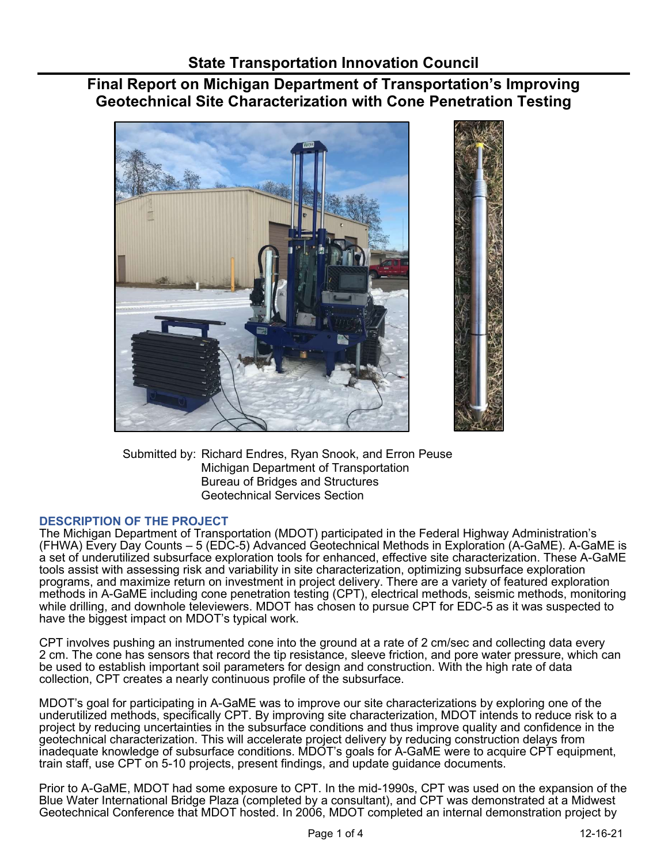# Final Report on Michigan Department of Transportation's Improving Geotechnical Site Characterization with Cone Penetration Testing



 Submitted by: Richard Endres, Ryan Snook, and Erron Peuse Michigan Department of Transportation Bureau of Bridges and Structures Geotechnical Services Section

## DESCRIPTION OF THE PROJECT

 The Michigan Department of Transportation (MDOT) participated in the Federal Highway Administration's (FHWA) Every Day Counts – 5 (EDC-5) Advanced Geotechnical Methods in Exploration (A-GaME). A-GaME is a set of underutilized subsurface exploration tools for enhanced, effective site characterization. These A-GaME tools assist with assessing risk and variability in site characterization, optimizing subsurface exploration programs, and maximize return on investment in project delivery. There are a variety of featured exploration methods in A-GaME including cone penetration testing (CPT), electrical methods, seismic methods, monitoring while drilling, and downhole televiewers. MDOT has chosen to pursue CPT for EDC-5 as it was suspected to have the biggest impact on MDOT's typical work.

 CPT involves pushing an instrumented cone into the ground at a rate of 2 cm/sec and collecting data every 2 cm. The cone has sensors that record the tip resistance, sleeve friction, and pore water pressure, which can be used to establish important soil parameters for design and construction. With the high rate of data collection, CPT creates a nearly continuous profile of the subsurface.

 MDOT's goal for participating in A-GaME was to improve our site characterizations by exploring one of the geotechnical characterization. This will accelerate project delivery by reducing construction delays from inadequate knowledge of subsurface conditions. MDOT's goals for A-GaME were to acquire CPT equipment, train staff, use CPT on 5-10 projects, present findings, and update guidance documents. underutilized methods, specifically CPT. By improving site characterization, MDOT intends to reduce risk to a project by reducing uncertainties in the subsurface conditions and thus improve quality and confidence in the

 Prior to A-GaME, MDOT had some exposure to CPT. In the mid-1990s, CPT was used on the expansion of the Blue Water International Bridge Plaza (completed by a consultant), and CPT was demonstrated at a Midwest Geotechnical Conference that MDOT hosted. In 2006, MDOT completed an internal demonstration project by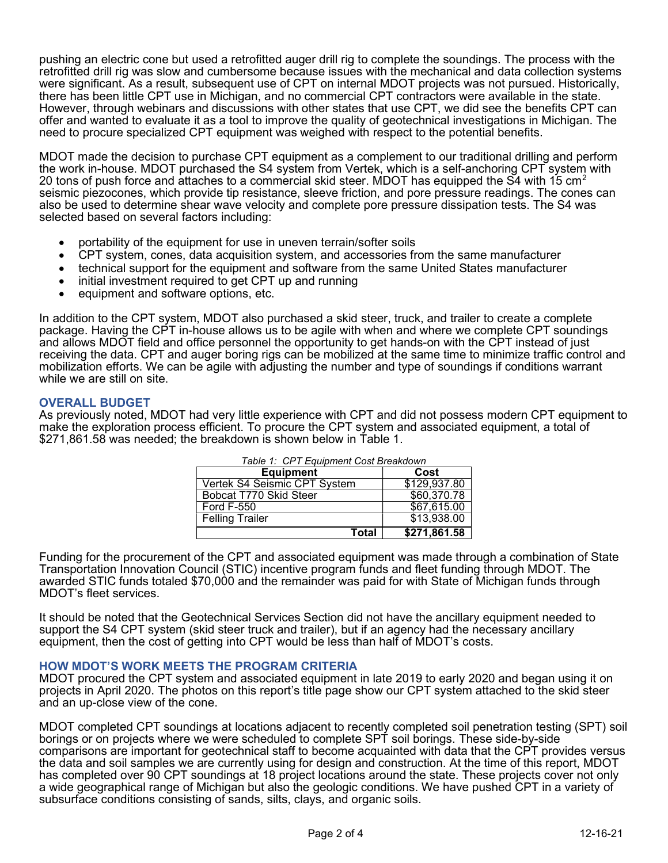pushing an electric cone but used a retrofitted auger drill rig to complete the soundings. The process with the retrofitted drill rig was slow and cumbersome because issues with the mechanical and data collection systems were significant. As a result, subsequent use of CPT on internal MDOT projects was not pursued. Historically, there has been little CPT use in Michigan, and no commercial CPT contractors were available in the state. However, through webinars and discussions with other states that use CPT, we did see the benefits CPT can offer and wanted to evaluate it as a tool to improve the quality of geotechnical investigations in Michigan. The need to procure specialized CPT equipment was weighed with respect to the potential benefits.

 MDOT made the decision to purchase CPT equipment as a complement to our traditional drilling and perform the work in-house. MDOT purchased the S4 system from Vertek, which is a self-anchoring CPT system with 20 tons of push force and attaches to a commercial skid steer. MDOT has equipped the S4 with 15 cm $^2$  seismic piezocones, which provide tip resistance, sleeve friction, and pore pressure readings. The cones can also be used to determine shear wave velocity and complete pore pressure dissipation tests. The S4 was selected based on several factors including:

- portability of the equipment for use in uneven terrain/softer soils
- CPT system, cones, data acquisition system, and accessories from the same manufacturer
- technical support for the equipment and software from the same United States manufacturer
- initial investment required to get CPT up and running
- equipment and software options, etc.

 In addition to the CPT system, MDOT also purchased a skid steer, truck, and trailer to create a complete package. Having the CPT in-house allows us to be agile with when and where we complete CPT soundings and allows MDOT field and office personnel the opportunity to get hands-on with the CPT instead of just receiving the data. CPT and auger boring rigs can be mobilized at the same time to minimize traffic control and mobilization efforts. We can be agile with adjusting the number and type of soundings if conditions warrant while we are still on site.

#### OVERALL BUDGET

 As previously noted, MDOT had very little experience with CPT and did not possess modern CPT equipment to make the exploration process efficient. To procure the CPT system and associated equipment, a total of [\\$271,861.58](https://271,861.58) was needed; the breakdown is shown below in Table 1.

| Table 1: CPT Equipment Cost Breakdown |              |
|---------------------------------------|--------------|
| <b>Equipment</b>                      | Cost         |
| Vertek S4 Seismic CPT System          | \$129,937.80 |
| Bobcat T770 Skid Steer                | \$60,370.78  |
| <b>Ford F-550</b>                     | \$67,615.00  |
| <b>Felling Trailer</b>                | \$13,938.00  |
| Total                                 | \$271,861.58 |

 Funding for the procurement of the CPT and associated equipment was made through a combination of State Transportation Innovation Council (STIC) incentive program funds and fleet funding through MDOT. The awarded STIC funds totaled \$70,000 and the remainder was paid for with State of Michigan funds through MDOT's fleet services.

 It should be noted that the Geotechnical Services Section did not have the ancillary equipment needed to support the S4 CPT system (skid steer truck and trailer), but if an agency had the necessary ancillary equipment, then the cost of getting into CPT would be less than half of MDOT's costs.

#### HOW MDOT'S WORK MEETS THE PROGRAM CRITERIA

 MDOT procured the CPT system and associated equipment in late 2019 to early 2020 and began using it on projects in April 2020. The photos on this report's title page show our CPT system attached to the skid steer and an up-close view of the cone.

 MDOT completed CPT soundings at locations adjacent to recently completed soil penetration testing (SPT) soil borings or on projects where we were scheduled to complete SPT soil borings. These side-by-side comparisons are important for geotechnical staff to become acquainted with data that the CPT provides versus the data and soil samples we are currently using for design and construction. At the time of this report, MDOT has completed over 90 CPT soundings at 18 project locations around the state. These projects cover not only a wide geographical range of Michigan but also the geologic conditions. We have pushed CPT in a variety of subsurface conditions consisting of sands, silts, clays, and organic soils.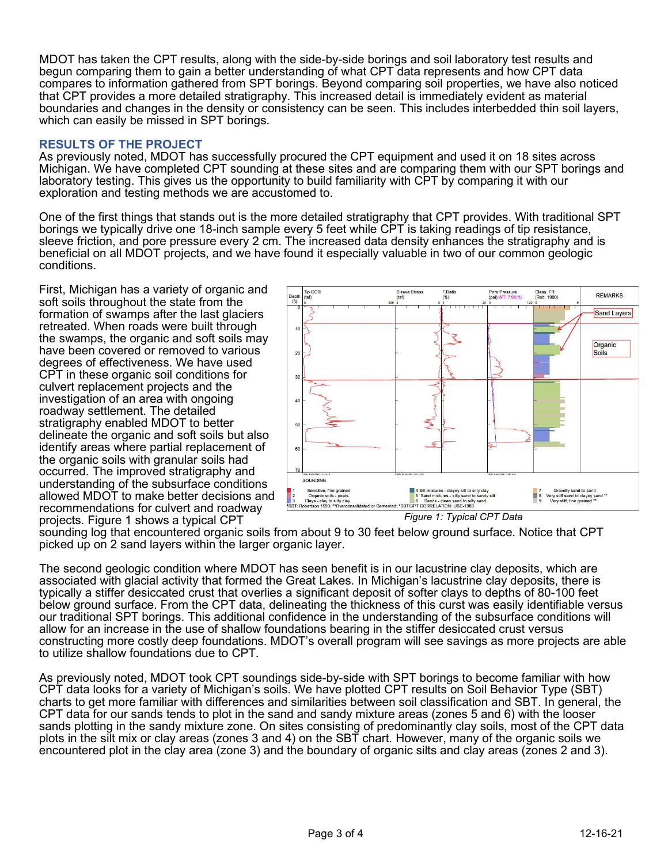MDOT has taken the CPT results, along with the side-by-side borings and soil laboratory test results and begun comparing them to gain a better understanding of what CPT data represents and how CPT data compares to information gathered from SPT borings. Beyond comparing soil properties, we have also noticed that CPT provides a more detailed stratigraphy. This increased detail is immediately evident as material boundaries and changes in the density or consistency can be seen. This includes interbedded thin soil layers, which can easily be missed in SPT borings.

#### RESULTS OF THE PROJECT

 As previously noted, MDOT has successfully procured the CPT equipment and used it on 18 sites across Michigan. We have completed CPT sounding at these sites and are comparing them with our SPT borings and laboratory testing. This gives us the opportunity to build familiarity with CPT by comparing it with our exploration and testing methods we are accustomed to.

 One of the first things that stands out is the more detailed stratigraphy that CPT provides. With traditional SPT borings we typically drive one 18-inch sample every 5 feet while CPT is taking readings of tip resistance, sleeve friction, and pore pressure every 2 cm. The increased data density enhances the stratigraphy and is beneficial on all MDOT projects, and we have found it especially valuable in two of our common geologic conditions.

 First, Michigan has a variety of organic and soft soils throughout the state from the formation of swamps after the last glaciers retreated. When roads were built through the swamps, the organic and soft soils may have been covered or removed to various degrees of effectiveness. We have used CPT in these organic soil conditions for culvert replacement projects and the investigation of an area with ongoing roadway settlement. The detailed stratigraphy enabled MDOT to better delineate the organic and soft soils but also identify areas where partial replacement of the organic soils with granular soils had occurred. The improved stratigraphy and understanding of the subsurface conditions allowed MDOT to make better decisions and recommendations for culvert and roadway projects. Figure 1 shows a typical CPT



Figure 1: Typical CPT Data

 sounding log that encountered organic soils from about 9 to 30 feet below ground surface. Notice that CPT picked up on 2 sand layers within the larger organic layer.

 The second geologic condition where MDOT has seen benefit is in our lacustrine clay deposits, which are associated with glacial activity that formed the Great Lakes. In Michigan's lacustrine clay deposits, there is typically a stiffer desiccated crust that overlies a significant deposit of softer clays to depths of 80-100 feet below ground surface. From the CPT data, delineating the thickness of this curst was easily identifiable versus our traditional SPT borings. This additional confidence in the understanding of the subsurface conditions will allow for an increase in the use of shallow foundations bearing in the stiffer desiccated crust versus constructing more costly deep foundations. MDOT's overall program will see savings as more projects are able to utilize shallow foundations due to CPT.

 As previously noted, MDOT took CPT soundings side-by-side with SPT borings to become familiar with how CPT data looks for a variety of Michigan's soils. We have plotted CPT results on Soil Behavior Type (SBT) charts to get more familiar with differences and similarities between soil classification and SBT. In general, the CPT data for our sands tends to plot in the sand and sandy mixture areas (zones 5 and 6) with the looser sands plotting in the sandy mixture zone. On sites consisting of predominantly clay soils, most of the CPT data plots in the silt mix or clay areas (zones 3 and 4) on the SBT chart. However, many of the organic soils we encountered plot in the clay area (zone 3) and the boundary of organic silts and clay areas (zones 2 and 3).